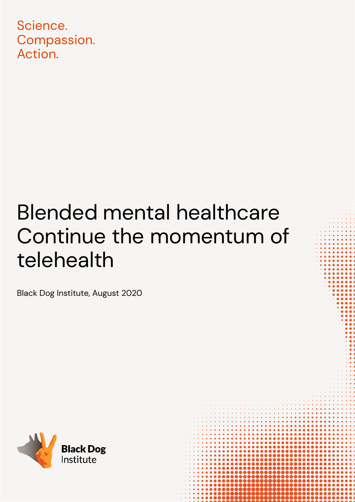Science. Compassion. Action.

# Blended mental healthcare Continue the momentum of telehealth

Black Dog Institute, August 2020

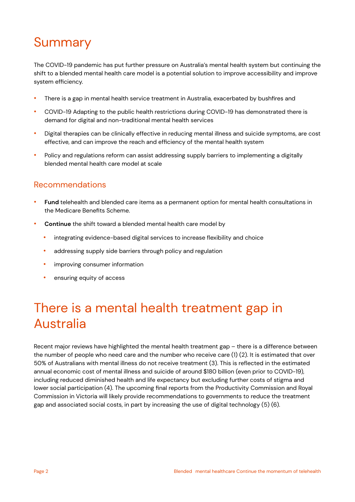## Summary

The COVID-19 pandemic has put further pressure on Australia's mental health system but continuing the shift to a blended mental health care model is a potential solution to improve accessibility and improve system efficiency.

- There is a gap in mental health service treatment in Australia, exacerbated by bushfires and
- COVID-19 Adapting to the public health restrictions during COVID-19 has demonstrated there is demand for digital and non-traditional mental health services
- Digital therapies can be clinically effective in reducing mental illness and suicide symptoms, are cost effective, and can improve the reach and efficiency of the mental health system
- Policy and regulations reform can assist addressing supply barriers to implementing a digitally blended mental health care model at scale

#### Recommendations

- **Fund** telehealth and blended care items as a permanent option for mental health consultations in the Medicare Benefits Scheme.
- **Continue** the shift toward a blended mental health care model by
	- integrating evidence-based digital services to increase flexibility and choice
	- addressing supply side barriers through policy and regulation
	- improving consumer information
	- ensuring equity of access

### There is a mental health treatment gap in Australia

Recent major reviews have highlighted the mental health treatment gap – there is a difference between the number of people who need care and the number who receive care (1) (2). It is estimated that over 50% of Australians with mental illness do not receive treatment (3). This is reflected in the estimated annual economic cost of mental illness and suicide of around \$180 billion (even prior to COVID-19), including reduced diminished health and life expectancy but excluding further costs of stigma and lower social participation (4). The upcoming final reports from the Productivity Commission and Royal Commission in Victoria will likely provide recommendations to governments to reduce the treatment gap and associated social costs, in part by increasing the use of digital technology (5) (6).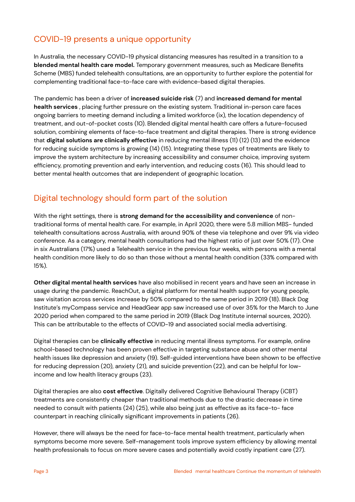### COVID-19 presents a unique opportunity

In Australia, the necessary COVID-19 physical distancing measures has resulted in a transition to a **blended mental health care model.** Temporary government measures, such as Medicare Benefits Scheme (MBS) funded telehealth consultations, are an opportunity to further explore the potential for complementing traditional face-to-face care with evidence-based digital therapies.

The pandemic has been a driver of **increased suicide risk** (7) and **increased demand for mental health services** , placing further pressure on the existing system. Traditional in-person care faces ongoing barriers to meeting demand including a limited workforce (ix), the location dependency of treatment, and out-of-pocket costs (10). Blended digital mental health care offers a future-focused solution, combining elements of face-to-face treatment and digital therapies. There is strong evidence that **digital solutions are clinically effective** in reducing mental illness (11) (12) (13) and the evidence for reducing suicide symptoms is growing (14) (15). Integrating these types of treatments are likely to improve the system architecture by increasing accessibility and consumer choice, improving system efficiency, promoting prevention and early intervention, and reducing costs (16). This should lead to better mental health outcomes that are independent of geographic location.

### Digital technology should form part of the solution

With the right settings, there is **strong demand for the accessibility and convenience** of nontraditional forms of mental health care. For example, in April 2020, there were 5.8 million MBS- funded telehealth consultations across Australia, with around 90% of these via telephone and over 9% via video conference. As a category, mental health consultations had the highest ratio of just over 50% (17). One in six Australians (17%) used a Telehealth service in the previous four weeks, with persons with a mental health condition more likely to do so than those without a mental health condition (33% compared with 15%).

**Other digital mental health services** have also mobilised in recent years and have seen an increase in usage during the pandemic. ReachOut, a digital platform for mental health support for young people, saw visitation across services increase by 50% compared to the same period in 2019 (18). Black Dog Institute's myCompass service and HeadGear app saw increased use of over 35% for the March to June 2020 period when compared to the same period in 2019 (Black Dog Institute internal sources, 2020). This can be attributable to the effects of COVID-19 and associated social media advertising.

Digital therapies can be **clinically effective** in reducing mental illness symptoms. For example, online school-based technology has been proven effective in targeting substance abuse and other mental health issues like depression and anxiety (19). Self-guided interventions have been shown to be effective for reducing depression (20), anxiety (21), and suicide prevention (22), and can be helpful for lowincome and low health literacy groups (23).

Digital therapies are also **cost effective**. Digitally delivered Cognitive Behavioural Therapy (iCBT) treatments are consistently cheaper than traditional methods due to the drastic decrease in time needed to consult with patients (24) (25), while also being just as effective as its face-to- face counterpart in reaching clinically significant improvements in patients (26).

However, there will always be the need for face-to-face mental health treatment, particularly when symptoms become more severe. Self-management tools improve system efficiency by allowing mental health professionals to focus on more severe cases and potentially avoid costly inpatient care (27).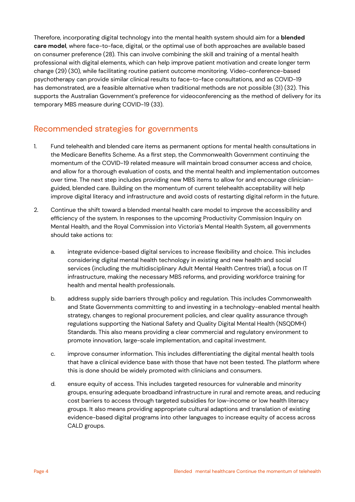Therefore, incorporating digital technology into the mental health system should aim for a **blended care model**, where face-to-face, digital, or the optimal use of both approaches are available based on consumer preference (28). This can involve combining the skill and training of a mental health professional with digital elements, which can help improve patient motivation and create longer term change (29) (30), while facilitating routine patient outcome monitoring. Video-conference-based psychotherapy can provide similar clinical results to face-to-face consultations, and as COVID-19 has demonstrated, are a feasible alternative when traditional methods are not possible (31) (32). This supports the Australian Government's preference for videoconferencing as the method of delivery for its temporary MBS measure during COVID-19 (33).

#### Recommended strategies for governments

- 1. Fund telehealth and blended care items as permanent options for mental health consultations in the Medicare Benefits Scheme. As a first step, the Commonwealth Government continuing the momentum of the COVID-19 related measure will maintain broad consumer access and choice, and allow for a thorough evaluation of costs, and the mental health and implementation outcomes over time. The next step includes providing new MBS items to allow for and encourage clinicianguided, blended care. Building on the momentum of current telehealth acceptability will help improve digital literacy and infrastructure and avoid costs of restarting digital reform in the future.
- 2. Continue the shift toward a blended mental health care model to improve the accessibility and efficiency of the system. In responses to the upcoming Productivity Commission Inquiry on Mental Health, and the Royal Commission into Victoria's Mental Health System, all governments should take actions to:
	- a. integrate evidence-based digital services to increase flexibility and choice. This includes considering digital mental health technology in existing and new health and social services (including the multidisciplinary Adult Mental Health Centres trial), a focus on IT infrastructure, making the necessary MBS reforms, and providing workforce training for health and mental health professionals.
	- b. address supply side barriers through policy and regulation. This includes Commonwealth and State Governments committing to and investing in a technology-enabled mental health strategy, changes to regional procurement policies, and clear quality assurance through regulations supporting the National Safety and Quality Digital Mental Health (NSQDMH) Standards. This also means providing a clear commercial and regulatory environment to promote innovation, large-scale implementation, and capital investment.
	- c. improve consumer information. This includes differentiating the digital mental health tools that have a clinical evidence base with those that have not been tested. The platform where this is done should be widely promoted with clinicians and consumers.
	- d. ensure equity of access. This includes targeted resources for vulnerable and minority groups, ensuring adequate broadband infrastructure in rural and remote areas, and reducing cost barriers to access through targeted subsidies for low-income or low health literacy groups. It also means providing appropriate cultural adaptions and translation of existing evidence-based digital programs into other languages to increase equity of access across CALD groups.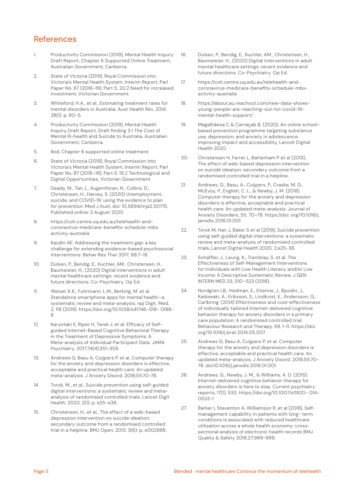#### References

- 1. Productivity Commission (2019), Mental Health Inquiry Draft Report, Chapter 6 Supported Online Treatment, Australian Government, Canberra.
- 2. State of Victoria (2019), Royal Commission into Victoria's Mental Health System, Interim Report, Parl Paper No. 87 (2018–19), Part 5, 20.2 Need for increased investment, Victorian Government.
- 3. Whiteford, H.A., et al., Estimating treatment rates for mental disorders in Australia. Aust Health Rev, 2014. 38(1): p. 80-5.
- 4. Productivity Commission (2019), Mental Health Inquiry Draft Report, Draft finding 3.1 The Cost of Mental Ill-health and Suicide to Australia, Australian Government, Canberra.
- 5. Ibid, Chapter 6 supported online treatment.
- 6. State of Victoria (2019), Royal Commission into Victoria's Mental Health System, Interim Report, Parl Paper No. 87 (2018–19), Part 5, 19.2 Technological and Digital Opportunities, Victorian Government.
- 7. Deady, M., Tan, L., Kugenthiran, N., Collins, D., Christensen, H., Harvey, S. (2020) Unemployment, suicide, and COVID-19: using the evidence to plan for prevention. Med J Aust, doi: 10.5694/mja2.50715, Published online: 3 August 2020
- 8. https://coh.centre.uq.edu.au/telehealth-andcoronavirus-medicare-benefits-schedule-mbs activity-australia
- 9. Kazdin AE. Addressing the treatment gap: a key challenge for extending evidence-based psychosocial interventions. Behav Res Ther 2017; 88:7–18.
- 10. Dulsen, P., Bendig, E., Kuchler, AM., Christensen, H., Baumeister, H., (2020) Digital interventions in adult mental healthcare settings: recent evidence and future directions. Co-Psychiatry. Op Ed.
- 11. Weisel, K.K., Fuhrmann, L.M., Berking, M. et al. Standalone smartphone apps for mental health—a systematic review and meta-analysis. npj Digit. Med. 2, 118 (2019). https://doi.org/10.1038/s41746-019- 0188- 8
- 12. Karyotaki E, Riper H, Twisk J, et al. Efficacy of Selfguided Internet-Based Cognitive Behavioral Therapy in the Treatment of Depressive Symptoms: A Meta-analysis of Individual Participant Data. JAMA Psychiatry. 2017;74(4):351-359.
- 13. Andrews G, Basu A, Cuijpers P, et al. Computer therapy for the anxiety and depression disorders is effective, acceptable and practical health care: An updated meta-analysis. J Anxiety Disord. 2018;55:70-78.
- 14. Torok, M., et al., Suicide prevention using self-guided digital interventions: a systematic review and metaanalysis of randomised controlled trials. Lancet Digit Health, 2020. 2(1): p. e25-e36.
- 15. Christensen, H., et al., The effect of a web-based depression intervention on suicide ideation: secondary outcome from a randomised controlled trial in a helpline. BMJ Open, 2013. 3(6): p. e002886.
- 16. Dulsen, P., Bendig, E., Kuchler, AM., Christensen, H., Baumeister, H., (2020) Digital interventions in adult mental healthcare settings: recent evidence and future directions. Co-Psychiatry. Op Ed.
- 17. https://coh.centre.uq.edu.au/telehealth-andcoronavirus-medicare-benefits-schedule-mbsactivity-australia
- 18. https://about.au.reachout.com/new-data-showsyoung-people-are-reaching-out-for-covid-19 mental-health-support/
- 19. Magalhãesa C & Carraçab B, (2020), An online schoolbased prevention programme targeting substance use, depression, and anxiety in adolescence: improving impact and accessibility, Lancet Digital Health 2020.
- 20. Christensen H, Farrer L, Batterham P et al (2013), The effect of web-based depression intervention on suicide ideation: secondary outcome from a randomised controlled trial in a helpline.
- 21. Andrews, G., Basu, A., Cuijpers, P., Craske, M. G., McEvoy, P., English, C. L., & Newby, J. M. (2018). Computer therapy for the anxiety and depression disorders is effective, acceptable and practical health care: An updated meta-analysis. Journal of Anxiety Disorders, 55, 70–78. https://doi. org/10.1016/j. janxdis.2018.01.001
- 22. Torok M, Han J, Baker S et al (2019), Suicide prevention using self-guided digital interventions: a systematic review and meta-analysis of randomised controlled trials, Lancet Digital Health 2020; 2:e25-36.
- 23. Schaffler, J., Leung, K., Tremblay, S. et al. The Effectiveness of Self-Management Interventions for Individuals with Low Health Literacy and/or Low Income: A Descriptive Systematic Review. J GEN INTERN MED 33, 510–523 (2018).
- 24. Nordgren LB., Hedman, E., Etienne, J., Bpodin, J., Kadowaki, A., Eriksson, S., Lindkvist, E., Andersson, G., Carlbring. (2014) Effectiveness and cost-effectiveness of individually tailored Internet-delivered cognitive behavior therapy for anxiety disorders in a primary care population: A randomized controlled trial. Behaviour Research and Therapy. 59, 1-11. https://doi. org/10.1016/j.brat.2014.05.007
- 25. Andrews G, Basu A, Cuijpers P, et al. Computer therapy for the anxiety and depression disorders is effective, acceptable and practical health care: An updated meta-analysis. J Anxiety Disord. 2018;55:70- 78. doi:10.1016/j.janxdis.2018.01.001
- 26. Andrews, G., Newby, J. M., & Williams, A. D. (2015). Internet-delivered cognitive behavior therapy for anxiety disorders is here to stay. Current psychiatry reports, 17(1), 533. https://doi.org/10.1007/s11920- 014- 0533-1
- 27. Barker I, Steventon A, Williamson R, et al (2018), Selfmanagement capability in patients with long- term conditions is associated with reduced healthcare utilisation across a whole health economy: crosssectional analysis of electronic health records BMJ Quality & Safety 2018;27:989-999.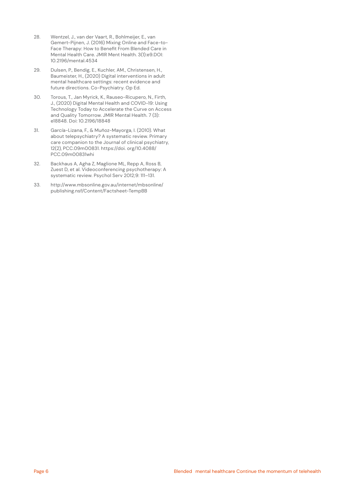- 28. Wentzel, J., van der Vaart, R., Bohlmeijer, E., van Gemert-Pijnen, J. (2016) Mixing Online and Face-to-Face Therapy: How to Benefit From Blended Care in Mental Health Care. JMIR Ment Health. 3(1):e9.DOI: 10.2196/mental.4534
- 29. Dulsen, P., Bendig, E., Kuchler, AM., Christensen, H., Baumeister, H., (2020) Digital interventions in adult mental healthcare settings: recent evidence and future directions. Co-Psychiatry. Op Ed.
- 30. Torous, T., Jan Myrick, K., Rauseo-Ricupero, N., Firth, J., (2020) Digital Mental Health and COVID-19: Using Technology Today to Accelerate the Curve on Access and Quality Tomorrow. JMIR Mental Health. 7 (3): e18848. Doi: 10.2196/18848
- 31. García-Lizana, F., & Muñoz-Mayorga, I. (2010). What about telepsychiatry? A systematic review. Primary care companion to the Journal of clinical psychiatry, 12(2), PCC.09m00831. https://doi. org/10.4088/ PCC.09m00831whi
- 32. Backhaus A, Agha Z, Maglione ML, Repp A, Ross B, Zuest D, et al. Videoconferencing psychotherapy: A systematic review. Psychol Serv 2012;9: 111–131.
- 33. http://www.mbsonline.gov.au/internet/mbsonline/ publishing.nsf/Content/Factsheet-TempBB